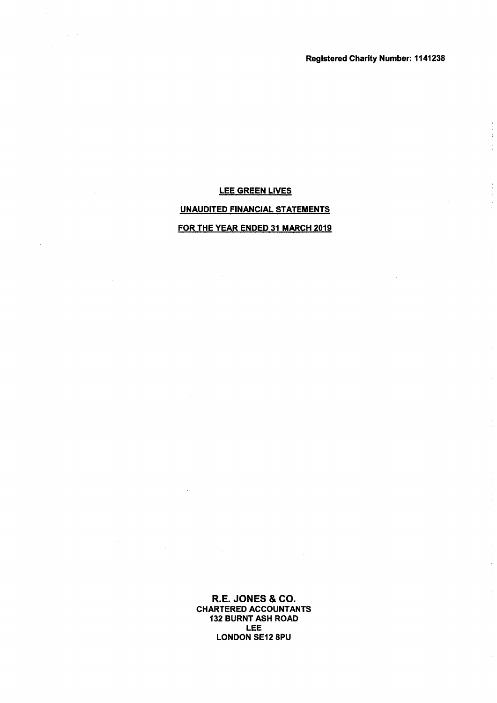Registered Charity Number: 1141238

# LEE GREEN LIVES UNAUDITED FINANCIAL STATEMENTS FOR THE YEAR ENDED 31 MARCH 2019

 $\frac{1}{2\pi} \leq \mathcal{E}(\mathbb{R})$ 

R.E.JONES & CO. CHARTERED ACCOUNTANTS 132 BURNT ASH ROAD LEE LONDON SE12 8PU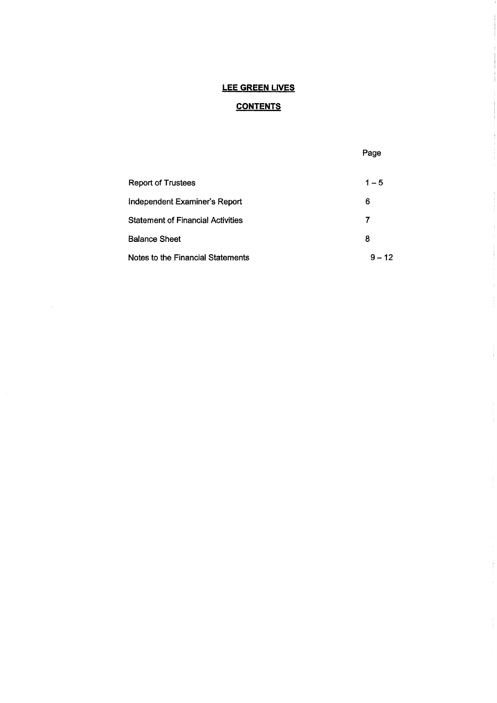# **CONTENTS**

|                                          | Page     |
|------------------------------------------|----------|
| <b>Report of Trustees</b>                | $1 - 5$  |
| Independent Examiner's Report            | 6        |
| <b>Statement of Financial Activities</b> | 7        |
| <b>Balance Sheet</b>                     | 8        |
| Notes to the Financial Statements        | $9 - 12$ |

 $\frac{1}{3}$ 

ŧ

 $\frac{1}{3}$ 

Ť.

 $\label{eq:1.1} \begin{array}{ll} \frac{1}{\sqrt{2}} & \mbox{if} \quad \frac{1}{\sqrt{2}} \leq \frac{1}{\sqrt{2}} \\ \mbox{if} \quad \frac{1}{\sqrt{2}} & \mbox{if} \quad \frac{1}{\sqrt{2}} \leq \frac{1}{\sqrt{2}} \end{array}$ 

 $\hat{\mathcal{L}}$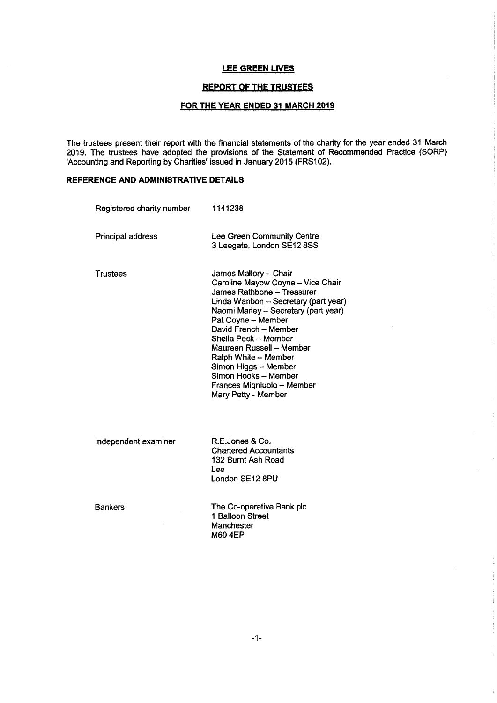### **REPORT OF THE TRUSTEES**

# FOR THE YEAR ENDED 31 MARCH 2019

The trustees present their report with the financial statements of the charity for the year ended 31 March 2019. The trustees have adopted the provisions of the Statement of Recommended Practice (SORP) 'Accounting and Reporting by Charities' issued in January 2015 (FRS102).

# REFERENCE AND ADMINISTRATIVE DETAILS

| Registered charity number | 1141238                                                                                                                                                                                                                                                                                                                                                                                                  |
|---------------------------|----------------------------------------------------------------------------------------------------------------------------------------------------------------------------------------------------------------------------------------------------------------------------------------------------------------------------------------------------------------------------------------------------------|
| Principal address         | Lee Green Community Centre<br>3 Leegate, London SE12 8SS                                                                                                                                                                                                                                                                                                                                                 |
| Trustees                  | James Mallory - Chair<br>Caroline Mayow Coyne - Vice Chair<br>James Rathbone - Treasurer<br>Linda Wanbon - Secretary (part year)<br>Naomi Marley - Secretary (part year)<br>Pat Coyne - Member<br>David French - Member<br>Sheila Peck - Member<br>Maureen Russell - Member<br>Ralph White - Member<br>Simon Higgs - Member<br>Simon Hooks – Member<br>Frances Migniuolo - Member<br>Mary Petty - Member |
| Independent examiner      | R.E.Jones & Co.<br><b>Chartered Accountants</b><br>132 Burnt Ash Road<br>Lee<br>London SE12 8PU                                                                                                                                                                                                                                                                                                          |
| <b>Bankers</b>            | The Co-operative Bank plc<br>1 Balloon Street<br>Manchester<br><b>M60 4EP</b>                                                                                                                                                                                                                                                                                                                            |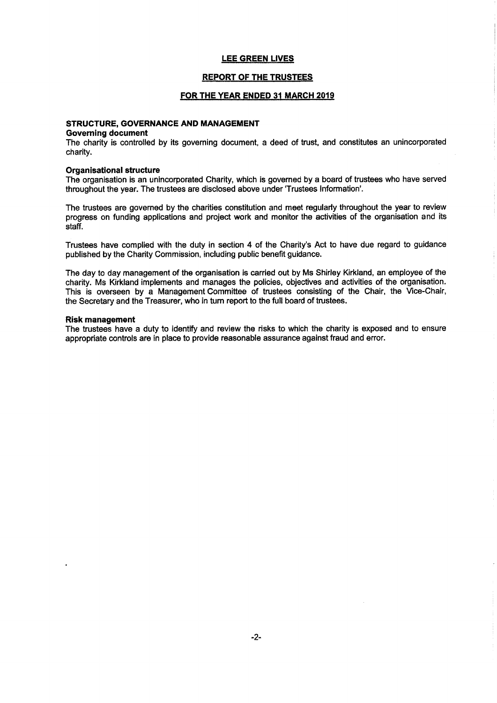#### REPORT OF THE TRUSTEES

#### FOR THE YEAR ENDED 31 MARCH 2019

#### STRUCTURE, GOVERNANCE AND MANAGEMENT

#### Governing document

The charity is controlled by its governing document, a deed of trust, and constitutes an unincorporated charity.

#### Organisatlonal structure

The organisation is an unincorporated Charity, which is governed by a board of trustees who have served throughout the year. The trustees are disclosed above under 'Trustees information'.

The trustees are governed by the charities constitution and meet regularly throughout the year to review progress on funding applications and project work and monitor the activities of the organisation and its staff.

Trustees have complied with the duty in section 4 of the Charity's Act to have due regard to guidance published by the Charity Commission, including public benefit guidance.

The day to day management of the organisation is carried out by Ms Shirley Kirkland, an employee of the charity. Ms Kirkland implements and manages the policies, objectives and activities of the organisation. This is overseen by a Management Committee of trustees consisting of the Chair, the Vice-Chair, the Secretary and the Treasurer, who in turn report to the full board of trustees.

#### Risk management

The trustees have a duty to identify and review the risks to which the charity is exposed and to ensure appropriate controls are in place to provide reasonable assurance against fraud and error.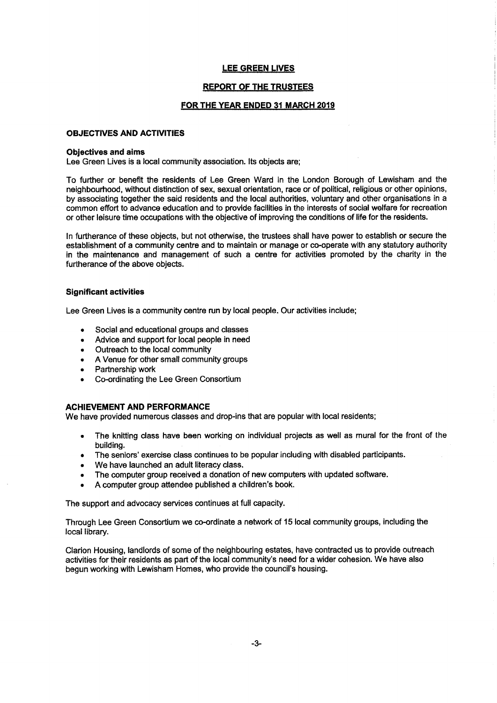#### REPORT OF THE TRUSTEES

#### FOR THE YEAR ENDED 31 MARCH 2019

#### OBJECTIVES AND ACTIVITIES

#### Objectives and aims

Lee Green Lives is a local community association. Its objects are;

To further or benefit the residents of Lee Green Ward in the London Borough of Lewisham and the neighbourhood, without distinction of sex, sexual orientation, race or of political, religious or other opinions, by associating together the said residents and the local authorities, voluntary and other organisations in a common effort to advance education and to provide facilities in the interests of social welfare for recreation or other leisure time occupations with the objective of improving the conditions of life for the residents.

In furtherance of these objects, but not otherwise, the trustees shall have power to establish or secure the establishment of a community centre and to maintain or manage or co-operate with any statutory authority in the maintenance and management of such a centre for activities promoted by the charity in the furtherance of the above objects.

#### Significant activities

Lee Green Lives is a community centre run by local people. Our activities include;

- Social and educational groups and classes
- <sup>~</sup> Advice and support for local people in need
- ~ Outreach to the local community
- A Venue for other small community groups
- Partnership work
- ~ Co-ordinating the Lee Green Consortium

#### ACHIEVEMENT AND PERFORMANCE

We have provided numerous classes and drop-ins that are popular with local residents;

- The knitting class have been working on individual projects as well as mural for the front of the building.
- The seniors' exercise class continues to be popular including with disabled participants.
- We have launched an adult literacy class.
- The computer group received a donation of new computers with updated software.
- A computer group attendee published a children's book.

The support and advocacy services continues at full capacity.

Through Lee Green Consortium we co-ordinate a network of 15 local community groups, including the local library.

Clarion Housing, landlords of some of the neighbouring estates, have contracted us to provide outreach activities for their residents as part of the local community's need for a wider cohesion. We have also begun working with Lewisham Homes, who provide the council's housing.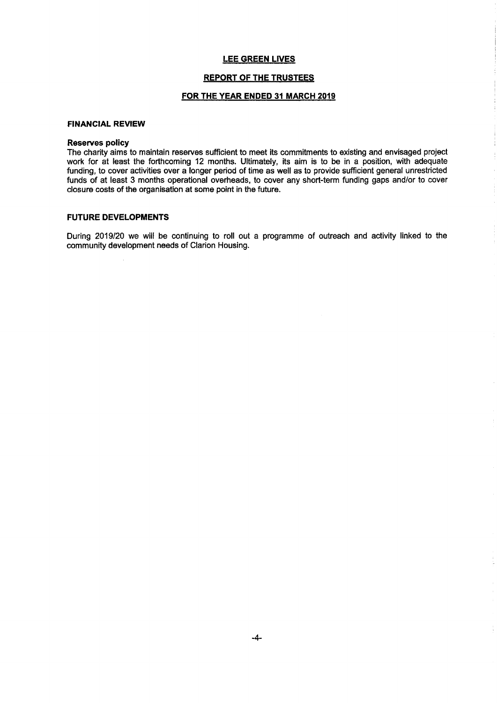#### **REPORT OF THE TRUSTEES**

### FOR THE YEAR ENDED 31 MARCH 2019

#### FINANCIAL REVIEW

#### Reserves policy

The charity aims to maintain reserves sufficient to meet its commitments to existing and envisaged project work for at least the forthcoming 12 months. Ultimately, its aim is to be in a position, with adequate funding, to cover activities over a longer period of time as well as to provide sufficient general unrestricted funds of at least 3 months operational overheads, to cover any short-term funding gaps and/or to cover closure costs of the organisation at some point in the future.

#### **FUTURE DEVELOPMENTS**

During 2019/20 we will be continuing to roll out a programme of outreach and activity linked to the community development needs of Clarion Housing.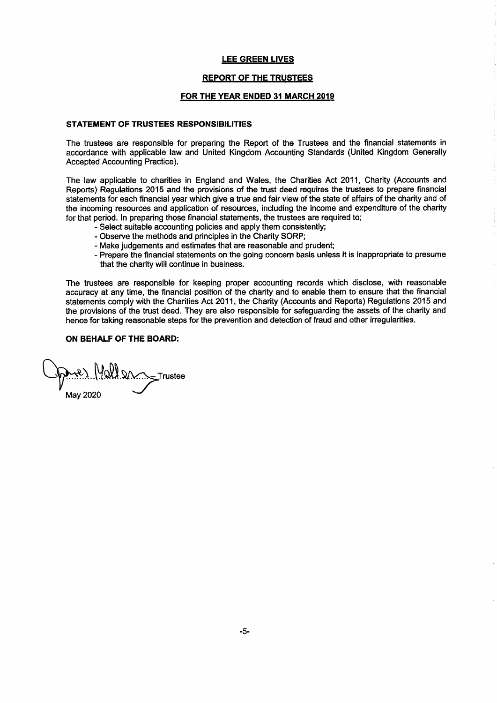### **REPORT OF THE TRUSTEES**

#### FOR THE YEAR ENDED 31 MARCH 2019

#### STATEMENT OF TRUSTEES RESPONSIBILITIES

The trustees are responsible for preparing the Report of the Trustees and the financial statements in accordance with applicable law and United Kingdom Accounting Standards (United Kingdom Generally Accepted Accounting Practice).

The law applicable to charities in England and Wales, the Charities Act 2011, Charity (Accounts and Reports) Regulations 2015 and the provisions of the trust deed requires the trustees to prepare financial statements for each financial year which give a true and fair view of the state of affairs of the charity and of the incoming resources and application of resources, including the income and expenditure of the charity for that period. In preparing those financial statements, the trustees are required to;

- Select suitable accounting policies and apply them consistently;
- Observe the methods and principles in the Charity SQRP;
- Make judgements and estimates that are reasonable and prudent;
- Prepare the financial statements on the going concern basis unless it is inappropriate to presume that the charity will continue in business.

The trustees are responsible for keeping proper accounting records which disdose, with reasonable accuracy at any time, the financial position of the charity and to enable them to ensure that the financial statements comply with the Charities Act 2011, the Charity (Accounts and Reports) Regulations 2015 and the provisions of the trust deed. They are also responsible for safeguarding the assets of the charity and hence for taking reasonable steps for the prevention and detection of fraud and other irregularities.

### ON BEHALF OF THE BOARD:

1. Wall 2n \_\_ Trustee May 2020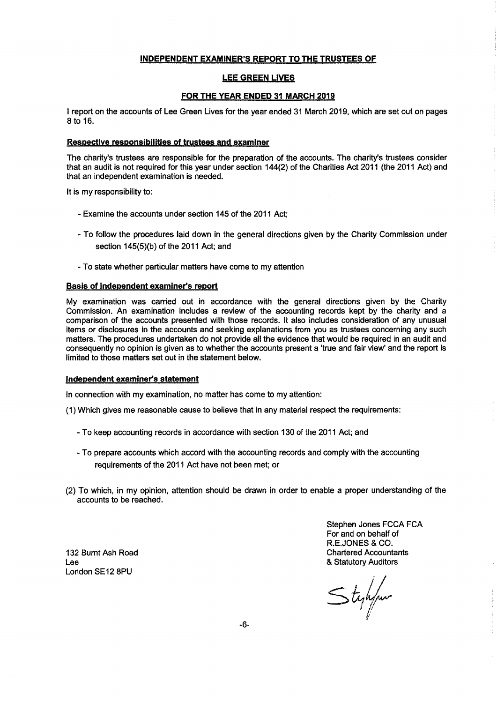#### INDEPENDENT EXAMINER'S REPORT TO THE TRUSTEES OF

#### **LEE GREEN LIVES**

#### FOR THE YEAR ENDED 31 MARCH 2019

<sup>I</sup> report on the accounts of Lee Green Lives for the year ended 31 March 2019, which are set out on pages 8 to 16.

### Respective responsibilities of trustees and examiner

The charity's trustees are responsible for the preparation of the accounts. The charity's trustees consider that an audit is not required for this year under section 144(2) of the Charities Act 2011 (the 2011 Act) and that an independent examination is needed.

It is my responsibility to:

- Examine the accounts under section 145 of the 2011 Act;
- To follow the procedures laid down in the general directions given by the Charity Commission under section 145(5)(b) of the 2011 Act; and
- To state whether particular matters have come to my attention

#### Basis of independent examiner's report

My examination was carried out in accordance with the general directions given by the Charity Commission. An examination includes a review of the accounting records kept by the charity and a comparison of the accounts presented with those records. It also includes consideration of any unusual items or disclosures in the accounts and seeking explanations from you as trustees concerning any such matters. The procedures undertaken do not provide all the evidence that would be required in an audit and consequently no opinion is given as to whether the accounts present a 'true and fair view' and the report is limited to those matters set out in the statement below.

#### Independent examiner's statement

In connection with my examination, no matter has come to my attention:

- (1)Which gives me reasonable cause to believe that in any material respect the requirements:
	- To keep accounting records in accordance with section 130 of the 2011 Act; and
	- To prepare accounts which accord with the accounting records and comply with the accounting requirements of the 2011 Act have not been met; or
- (2) To which, in my opinion, attention should be drawn in order to enable a proper understanding of the accounts to be reached.

132 Burnt Ash Road Lee London SE12 8PU

Stephen Jones FCCA FCA For and on behalf of R.E.JONES & CO. Chartered Accountants & Statutory Auditors

 $\leq$ tyhyn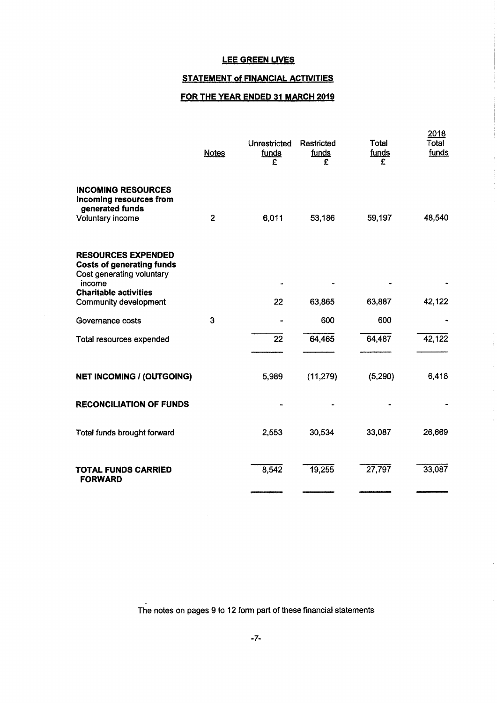# STATEMENT of FINANCIAL ACTIVITIES

# FOR THE YEAR ENDED 31 MARCH 2019

|                                                                                                                                      | <b>Notes</b> | Unrestricted<br>funds<br>F | Restricted<br>funds<br>£ | Total<br>funds<br>£ | 2018<br>Total<br>funds |
|--------------------------------------------------------------------------------------------------------------------------------------|--------------|----------------------------|--------------------------|---------------------|------------------------|
| <b>INCOMING RESOURCES</b><br>Incoming resources from<br>generated funds<br>Voluntary income                                          | $\mathbf{2}$ | 6,011                      | 53,186                   | 59,197              | 48,540                 |
| <b>RESOURCES EXPENDED</b><br><b>Costs of generating funds</b><br>Cost generating voluntary<br>income<br><b>Charitable activities</b> |              |                            |                          |                     |                        |
| Community development                                                                                                                |              | 22                         | 63,865                   | 63,887              | 42,122                 |
| Governance costs                                                                                                                     | 3            |                            | 600                      | 600                 |                        |
| Total resources expended                                                                                                             |              | 22                         | 64,465                   | 64,487              | 42,122                 |
| <b>NET INCOMING / (OUTGOING)</b>                                                                                                     |              | 5,989                      | (11, 279)                | (5,290)             | 6,418                  |
| <b>RECONCILIATION OF FUNDS</b>                                                                                                       |              |                            |                          |                     |                        |
| Total funds brought forward                                                                                                          |              | 2,553                      | 30,534                   | 33,087              | 26,669                 |
| <b>TOTAL FUNDS CARRIED</b><br><b>FORWARD</b>                                                                                         |              | 8,542                      | 19,255                   | 27,797              | 33,087                 |

The notes on pages 9 to 12 form part of these financial statements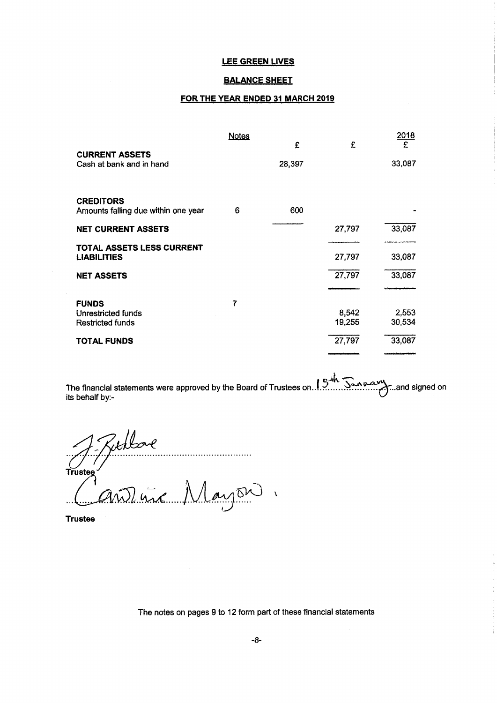#### **BALANCE SHEET**

### FOR THE YEAR ENDED 31 MARCH 2019

|                                                 | <b>Notes</b>            | £      | £      | <u> 2018</u><br>£ |
|-------------------------------------------------|-------------------------|--------|--------|-------------------|
| <b>CURRENT ASSETS</b>                           |                         |        |        |                   |
| Cash at bank and in hand                        |                         | 28,397 |        | 33,087            |
| <b>CREDITORS</b>                                |                         |        |        |                   |
| Amounts falling due within one year             | 6                       | 600    |        |                   |
| <b>NET CURRENT ASSETS</b>                       |                         |        | 27,797 | 33,087            |
| TOTAL ASSETS LESS CURRENT<br><b>LIABILITIES</b> |                         |        | 27,797 | 33,087            |
| <b>NET ASSETS</b>                               |                         |        | 27,797 | 33,087            |
| <b>FUNDS</b>                                    | $\overline{\mathbf{r}}$ |        |        |                   |
| Unrestricted funds                              |                         |        | 8,542  | 2,553             |
| <b>Restricted funds</b>                         |                         |        | 19,255 | 30,534            |
| <b>TOTAL FUNDS</b>                              |                         |        | 27,797 | 33,087            |
|                                                 |                         |        |        | وينسخه فيسمعه     |

The tinanciai statements were approved by the Board of Trustees on. .!~... ...~......... .)Pand signed on its behalf by:-

Rochbore<br>Andrew Mayon Trustee

Trustee

The notes on pages 9 to 12 form part of these financial statements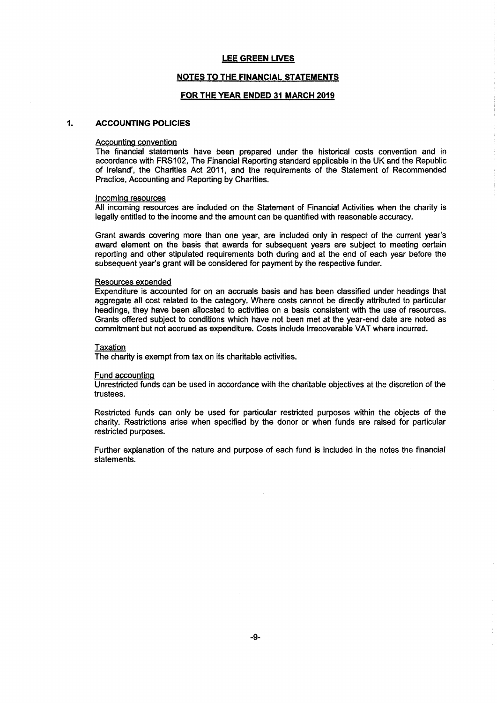#### NOTES TO THE FINANCIAL STATEMENTS

#### FOR THE YEAR ENDED 31 MARCH 2019

#### $\ddot{\mathbf{1}}$ ACCOVNTING POLICIES

#### Accounting convention

The financial statements have been prepared under the historical costs convention and in accordance with FRS102, The Financial Reporting standard applicabie in the UK and the Republic of Ireland', the Charities Act 2011, and the requirements of the Statement of Recommended Practice, Accounting and Reporting by Charities.

#### Incomina resources

All incoming resources are included on the Statement of Financial Activities when the charity is legally entitled to the income and the amount can be quantified with reasonable accuracy.

Grant awards covering more than one year, are included only in respect of the current year's award element on the basis that awards for subsequent years are subject to meeting certain reporting and other stipulated requirements both during and at the end of each year before the subsequent year's grant will be considered for payment by the respective funder.

#### Resources expended

Expenditure is accounted for on an accruals basis and has been classified under headings that aggregate all cost related to the category. Where costs cannot be directly attributed to particular headings, they have been allocated to activities on a basis consistent with the use of resources. Grants offered subject to conditions which have not been met at the year-end date are noted as commitment but not accrued as expenditure. Costs indude irrecoverable VAT where incurred.

#### Taxation

The charity is exempt from tax on its charitable activities.

#### Fund accounting

Unrestricted funds can be used in accordance with the charitable objectives at the discretion of the trustees.

Restricted funds can only be used for particular restricted purposes within the objects of the charity. Restrictions arise when specified by the donor or when funds are raised for particular restricted purposes.

Further explanation of the nature and purpose of each fund is included in the notes the financial statements.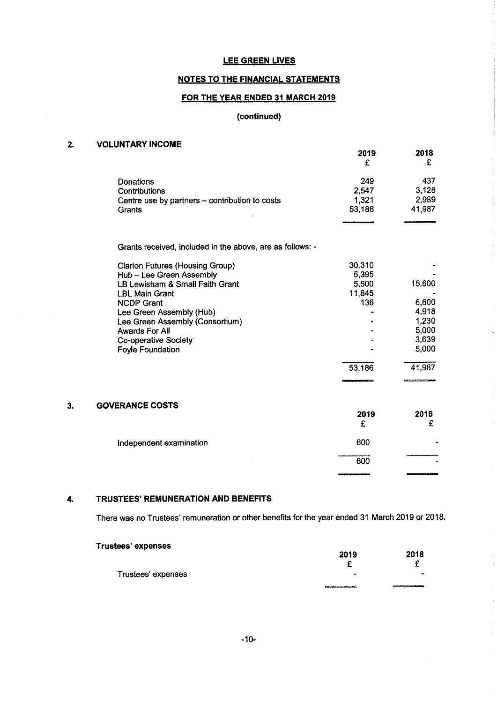# NOTES TO THE FINANCIAL STATEMENTS

# FOR THE YEAR ENDED 31 MARCH 2019

# {continued)

| 2. | <b>VOLUNTARY INCOME</b>                                   | 2019<br>£ | 2018<br>£ |
|----|-----------------------------------------------------------|-----------|-----------|
|    | Donations                                                 | 249       | 437       |
|    | Contributions                                             | 2,547     | 3,128     |
|    | Centre use by partners - contribution to costs            | 1,321     | 2,989     |
|    | Grants                                                    | 53,186    | 41,987    |
|    | Grants received, included in the above, are as follows: - |           |           |
|    | <b>Clarion Futures (Housing Group)</b>                    | 30,310    |           |
|    | Hub - Lee Green Assembly                                  | 5,395     |           |
|    | LB Lewisham & Small Faith Grant                           | 5,500     | 15,600    |
|    | <b>LBL Main Grant</b>                                     | 11,845    |           |
|    | <b>NCDP Grant</b>                                         | 136       | 6,600     |
|    | Lee Green Assembly (Hub)                                  |           | 4,918     |
|    | Lee Green Assembly (Consortium)                           |           | 1,230     |
|    | <b>Awards For All</b>                                     |           | 5,000     |
|    | <b>Co-operative Society</b>                               |           | 3,639     |
|    | <b>Foyle Foundation</b>                                   |           | 5,000     |
|    |                                                           | 53,186    | 41,987    |
| 3. | <b>GOVERANCE COSTS</b>                                    |           |           |
|    |                                                           | 2019      | 2018      |
|    |                                                           | £         | £         |
|    | Independent examination                                   | 600       |           |
|    |                                                           | 600       |           |
|    |                                                           |           |           |

# 4. TRUSTEES' REMUNERATION AND BENEFITS

There was no Trustees' remuneration or other benefits for the year ended 31 March 2019 or 2018.

| <b>Trustees' expenses</b> |                |           |
|---------------------------|----------------|-----------|
|                           | 2019           | 2018      |
|                           |                |           |
| Trustees' expenses        | $\blacksquare$ | $\bullet$ |
|                           |                |           |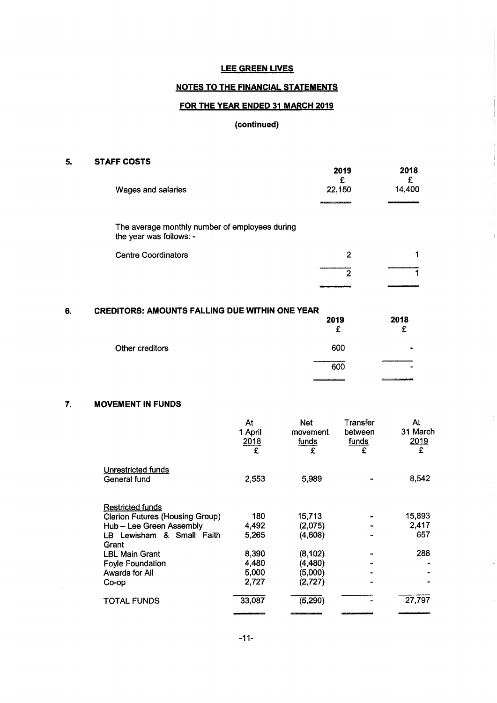# NOTES TO THE FINANCIAL STATEMENTS

# FOR THE YEAR ENDED 31 MARCH 2019

# (continued)

# 5. STAFF COSTS

| ,,,,,,,,,,,,<br>Wages and salaries                                        | 2019<br>£<br>22,150 | 2018<br>14,400 |
|---------------------------------------------------------------------------|---------------------|----------------|
|                                                                           |                     |                |
| The average monthly number of employees during<br>the year was follows: - |                     |                |
| <b>Centre Coordinators</b>                                                | 2                   |                |
|                                                                           | 2                   |                |
|                                                                           |                     |                |

 $\frac{1}{2}$ 

 $\frac{1}{2}$ 

| 6. | <b>CREDITORS: AMOUNTS FALLING DUE WITHIN ONE YEAR</b> | 2019<br>£ | 2018<br>£ |
|----|-------------------------------------------------------|-----------|-----------|
|    | Other creditors                                       | 600       |           |
|    |                                                       | 600       |           |
|    |                                                       |           |           |

# 7. MOVEMENT IN FUNDS

|                                                                                                                            | At<br>1 April<br>2018<br>£       | Net<br>movement<br><u>funds</u><br>£      | Transfer<br>between<br><u>funds</u><br>£ | At<br>31 March<br>2019<br>£ |
|----------------------------------------------------------------------------------------------------------------------------|----------------------------------|-------------------------------------------|------------------------------------------|-----------------------------|
| Unrestricted funds<br>General fund                                                                                         | 2,553                            | 5,989                                     |                                          | 8,542                       |
| <b>Restricted funds</b><br><b>Clarion Futures (Housing Group)</b><br>Hub - Lee Green Assembly<br>LB Lewisham & Small Faith | 180<br>4,492<br>5.265            | 15,713<br>(2,075)<br>(4,608)              |                                          | 15,893<br>2,417<br>657      |
| Grant<br><b>LBL Main Grant</b><br><b>Foyle Foundation</b><br>Awards for All<br>Co-op                                       | 8,390<br>4,480<br>5,000<br>2,727 | (8, 102)<br>(4,480)<br>(5,000)<br>(2,727) |                                          | 288                         |
| TOTAL FUNDS                                                                                                                | 33,087                           | (5, 290)                                  |                                          | 27,797                      |